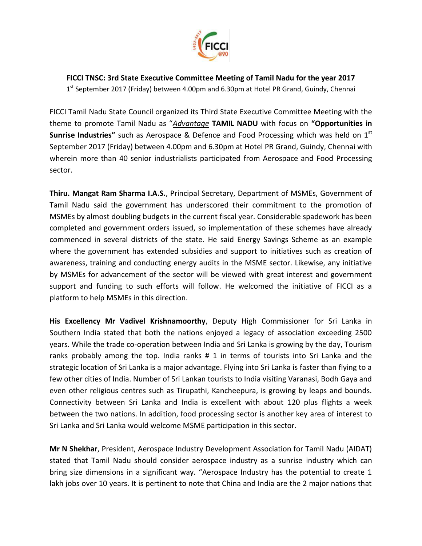

**FICCI TNSC: 3rd State Executive Committee Meeting of Tamil Nadu for the year 2017**

1<sup>st</sup> September 2017 (Friday) between 4.00pm and 6.30pm at Hotel PR Grand, Guindy, Chennai

FICCI Tamil Nadu State Council organized its Third State Executive Committee Meeting with the theme to promote Tamil Nadu as "*Advantage* **TAMIL NADU** with focus on **"Opportunities in Sunrise Industries"** such as Aerospace & Defence and Food Processing which was held on 1<sup>st</sup> September 2017 (Friday) between 4.00pm and 6.30pm at Hotel PR Grand, Guindy, Chennai with wherein more than 40 senior industrialists participated from Aerospace and Food Processing sector.

**Thiru. Mangat Ram Sharma I.A.S.**, Principal Secretary, Department of MSMEs, Government of Tamil Nadu said the government has underscored their commitment to the promotion of MSMEs by almost doubling budgets in the current fiscal year. Considerable spadework has been completed and government orders issued, so implementation of these schemes have already commenced in several districts of the state. He said Energy Savings Scheme as an example where the government has extended subsidies and support to initiatives such as creation of awareness, training and conducting energy audits in the MSME sector. Likewise, any initiative by MSMEs for advancement of the sector will be viewed with great interest and government support and funding to such efforts will follow. He welcomed the initiative of FICCI as a platform to help MSMEs in this direction.

**His Excellency Mr Vadivel Krishnamoorthy**, Deputy High Commissioner for Sri Lanka in Southern India stated that both the nations enjoyed a legacy of association exceeding 2500 years. While the trade co-operation between India and Sri Lanka is growing by the day, Tourism ranks probably among the top. India ranks # 1 in terms of tourists into Sri Lanka and the strategic location of Sri Lanka is a major advantage. Flying into Sri Lanka is faster than flying to a few other cities of India. Number of Sri Lankan tourists to India visiting Varanasi, Bodh Gaya and even other religious centres such as Tirupathi, Kancheepura, is growing by leaps and bounds. Connectivity between Sri Lanka and India is excellent with about 120 plus flights a week between the two nations. In addition, food processing sector is another key area of interest to Sri Lanka and Sri Lanka would welcome MSME participation in this sector.

**Mr N Shekhar**, President, Aerospace Industry Development Association for Tamil Nadu (AIDAT) stated that Tamil Nadu should consider aerospace industry as a sunrise industry which can bring size dimensions in a significant way. "Aerospace Industry has the potential to create 1 lakh jobs over 10 years. It is pertinent to note that China and India are the 2 major nations that